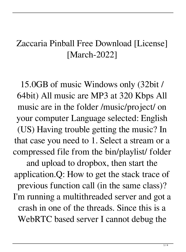## Zaccaria Pinball Free Download [License] [March-2022]

15.0GB of music Windows only (32bit / 64bit) All music are MP3 at 320 Kbps All music are in the folder /music/project/ on your computer Language selected: English (US) Having trouble getting the music? In that case you need to 1. Select a stream or a compressed file from the bin/playlist/ folder and upload to dropbox, then start the application.Q: How to get the stack trace of previous function call (in the same class)? I'm running a multithreaded server and got a crash in one of the threads. Since this is a WebRTC based server I cannot debug the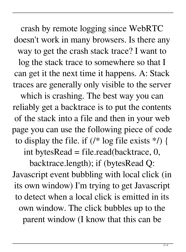crash by remote logging since WebRTC doesn't work in many browsers. Is there any way to get the crash stack trace? I want to log the stack trace to somewhere so that I can get it the next time it happens. A: Stack traces are generally only visible to the server which is crashing. The best way you can reliably get a backtrace is to put the contents of the stack into a file and then in your web page you can use the following piece of code to display the file. if  $(\frac{*}{\log n})$  { int bytesRead = file.read(backtrace,  $0$ , backtrace.length); if (bytesRead Q:

Javascript event bubbling with local click (in its own window) I'm trying to get Javascript to detect when a local click is emitted in its own window. The click bubbles up to the parent window (I know that this can be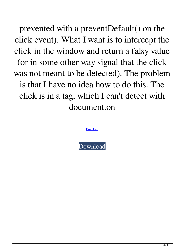prevented with a preventDefault() on the click event). What I want is to intercept the click in the window and return a falsy value (or in some other way signal that the click was not meant to be detected). The problem is that I have no idea how to do this. The click is in a tag, which I can't detect with document.on